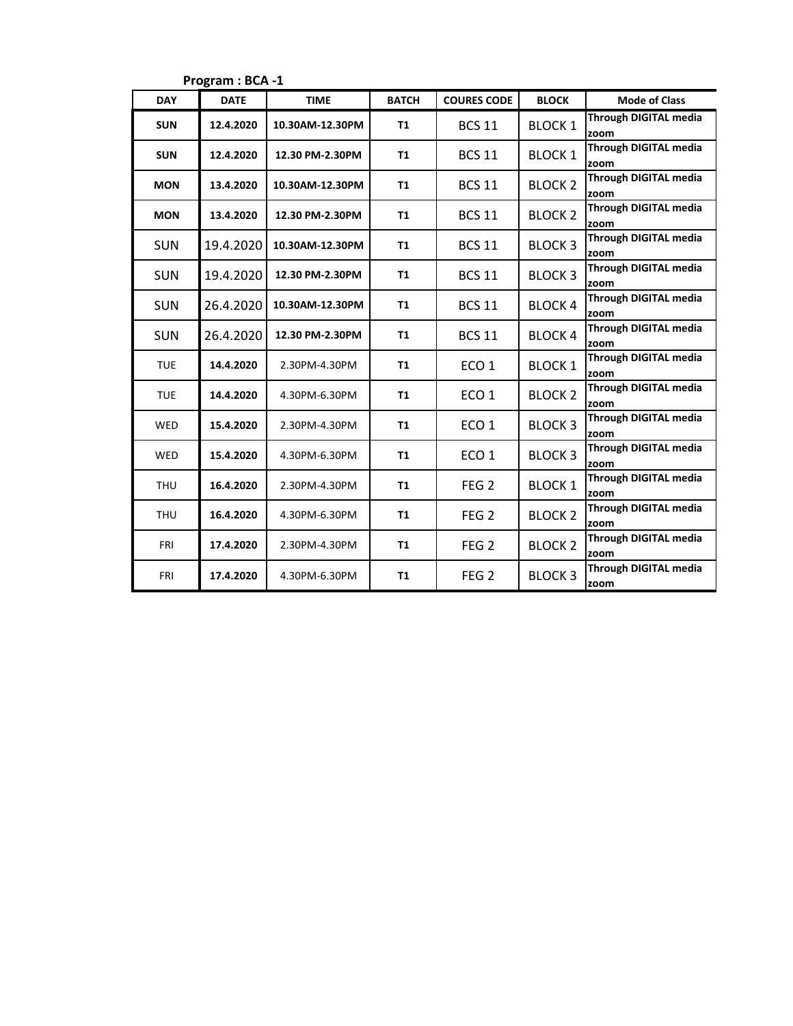| <b>DAY</b> | <b>DATE</b> | <b>TIME</b>     | <b>BATCH</b>   | <b>COURES CODE</b> | <b>BLOCK</b>   | <b>Mode of Class</b>                 |
|------------|-------------|-----------------|----------------|--------------------|----------------|--------------------------------------|
| <b>SUN</b> | 12.4.2020   | 10.30AM-12.30PM | <b>T1</b>      | <b>BCS 11</b>      | <b>BLOCK 1</b> | <b>Through DIGITAL media</b><br>zoom |
| <b>SUN</b> | 12.4.2020   | 12.30 PM-2.30PM | <b>T1</b>      | <b>BCS 11</b>      | <b>BLOCK 1</b> | <b>Through DIGITAL media</b><br>zoom |
| <b>MON</b> | 13.4.2020   | 10.30AM-12.30PM | <b>T1</b>      | <b>BCS 11</b>      | <b>BLOCK 2</b> | <b>Through DIGITAL media</b><br>zoom |
| <b>MON</b> | 13.4.2020   | 12.30 PM-2.30PM | <b>T1</b>      | <b>BCS 11</b>      | <b>BLOCK 2</b> | <b>Through DIGITAL media</b><br>zoom |
| <b>SUN</b> | 19.4.2020   | 10.30AM-12.30PM | <b>T1</b>      | <b>BCS 11</b>      | <b>BLOCK 3</b> | <b>Through DIGITAL media</b><br>zoom |
| <b>SUN</b> | 19.4.2020   | 12.30 PM-2.30PM | <b>T1</b>      | <b>BCS 11</b>      | <b>BLOCK3</b>  | <b>Through DIGITAL media</b><br>zoom |
| <b>SUN</b> | 26.4.2020   | 10.30AM-12.30PM | <b>T1</b>      | <b>BCS 11</b>      | <b>BLOCK 4</b> | <b>Through DIGITAL media</b><br>zoom |
| <b>SUN</b> | 26.4.2020   | 12.30 PM-2.30PM | <b>T1</b>      | <b>BCS 11</b>      | <b>BLOCK 4</b> | <b>Through DIGITAL media</b><br>zoom |
| <b>TUE</b> | 14.4.2020   | 2.30PM-4.30PM   | <b>T1</b>      | ECO <sub>1</sub>   | <b>BLOCK 1</b> | <b>Through DIGITAL media</b><br>zoom |
| <b>TUE</b> | 14.4.2020   | 4.30PM-6.30PM   | <b>T1</b>      | ECO <sub>1</sub>   | <b>BLOCK 2</b> | <b>Through DIGITAL media</b><br>zoom |
| WED        | 15.4.2020   | 2.30PM-4.30PM   | <b>T1</b>      | ECO <sub>1</sub>   | <b>BLOCK3</b>  | <b>Through DIGITAL media</b><br>zoom |
| WED        | 15.4.2020   | 4.30PM-6.30PM   | <b>T1</b>      | ECO <sub>1</sub>   | <b>BLOCK 3</b> | <b>Through DIGITAL media</b><br>zoom |
| <b>THU</b> | 16.4.2020   | 2.30PM-4.30PM   | <b>T1</b>      | FEG <sub>2</sub>   | <b>BLOCK 1</b> | <b>Through DIGITAL media</b><br>zoom |
| <b>THU</b> | 16.4.2020   | 4.30PM-6.30PM   | <b>T1</b>      | FEG <sub>2</sub>   | <b>BLOCK 2</b> | <b>Through DIGITAL media</b><br>zoom |
| <b>FRI</b> | 17.4.2020   | 2.30PM-4.30PM   | <b>T1</b>      | FEG <sub>2</sub>   | <b>BLOCK 2</b> | <b>Through DIGITAL media</b><br>zoom |
| <b>FRI</b> | 17.4.2020   | 4.30PM-6.30PM   | T <sub>1</sub> | FEG <sub>2</sub>   | <b>BLOCK3</b>  | <b>Through DIGITAL media</b><br>zoom |

**Program : BCA -1**